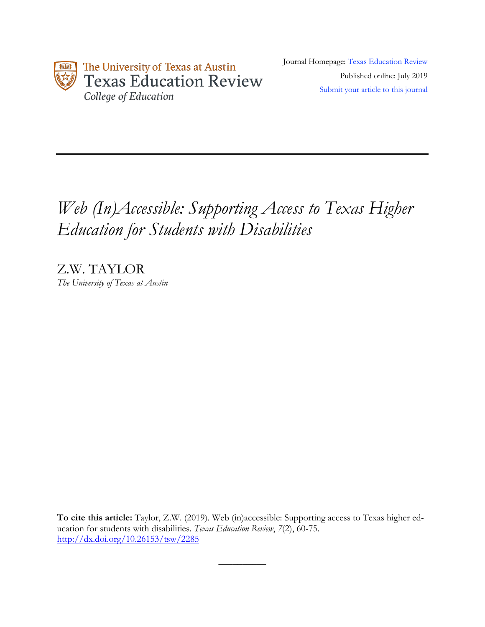

Journal Homepage: Texas Education Review Published online: July 2019 Submit your article to this journal

# *Web (In)Accessible: Supporting Access to Texas Higher Education for Students with Disabilities*

Z.W. TAYLOR *The University of Texas at Austin*

**To cite this article:** Taylor, Z.W. (2019). Web (in)accessible: Supporting access to Texas higher education for students with disabilities. *Texas Education Review*, *7*(2), 60-75. http://dx.doi.org/10.26153/tsw/2285

 $\overline{\phantom{a}}$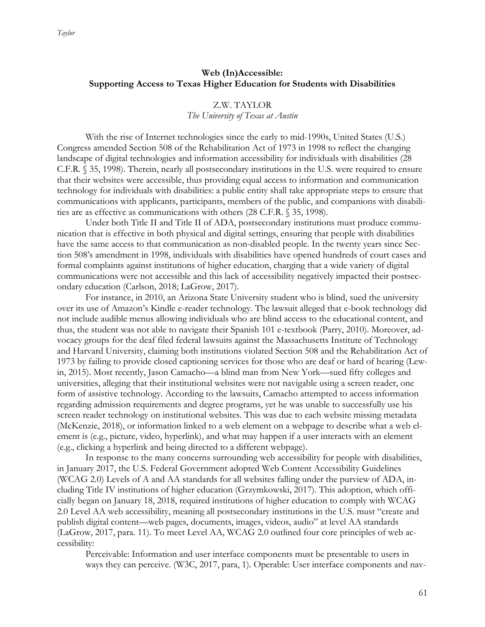# **Web (In)Accessible: Supporting Access to Texas Higher Education for Students with Disabilities**

# Z.W. TAYLOR *The University of Texas at Austin*

With the rise of Internet technologies since the early to mid-1990s, United States (U.S.) Congress amended Section 508 of the Rehabilitation Act of 1973 in 1998 to reflect the changing landscape of digital technologies and information accessibility for individuals with disabilities (28 C.F.R. § 35, 1998). Therein, nearly all postsecondary institutions in the U.S. were required to ensure that their websites were accessible, thus providing equal access to information and communication technology for individuals with disabilities: a public entity shall take appropriate steps to ensure that communications with applicants, participants, members of the public, and companions with disabilities are as effective as communications with others (28 C.F.R. § 35, 1998).

Under both Title II and Title II of ADA, postsecondary institutions must produce communication that is effective in both physical and digital settings, ensuring that people with disabilities have the same access to that communication as non-disabled people. In the twenty years since Section 508's amendment in 1998, individuals with disabilities have opened hundreds of court cases and formal complaints against institutions of higher education, charging that a wide variety of digital communications were not accessible and this lack of accessibility negatively impacted their postsecondary education (Carlson, 2018; LaGrow, 2017).

For instance, in 2010, an Arizona State University student who is blind, sued the university over its use of Amazon's Kindle e-reader technology. The lawsuit alleged that e-book technology did not include audible menus allowing individuals who are blind access to the educational content, and thus, the student was not able to navigate their Spanish 101 e-textbook (Parry, 2010). Moreover, advocacy groups for the deaf filed federal lawsuits against the Massachusetts Institute of Technology and Harvard University, claiming both institutions violated Section 508 and the Rehabilitation Act of 1973 by failing to provide closed captioning services for those who are deaf or hard of hearing (Lewin, 2015). Most recently, Jason Camacho—a blind man from New York—sued fifty colleges and universities, alleging that their institutional websites were not navigable using a screen reader, one form of assistive technology. According to the lawsuits, Camacho attempted to access information regarding admission requirements and degree programs, yet he was unable to successfully use his screen reader technology on institutional websites. This was due to each website missing metadata (McKenzie, 2018), or information linked to a web element on a webpage to describe what a web element is (e.g., picture, video, hyperlink), and what may happen if a user interacts with an element (e.g., clicking a hyperlink and being directed to a different webpage).

In response to the many concerns surrounding web accessibility for people with disabilities, in January 2017, the U.S. Federal Government adopted Web Content Accessibility Guidelines (WCAG 2.0) Levels of A and AA standards for all websites falling under the purview of ADA, including Title IV institutions of higher education (Grzymkowski, 2017). This adoption, which officially began on January 18, 2018, required institutions of higher education to comply with WCAG 2.0 Level AA web accessibility, meaning all postsecondary institutions in the U.S. must "create and publish digital content—web pages, documents, images, videos, audio" at level AA standards (LaGrow, 2017, para. 11). To meet Level AA, WCAG 2.0 outlined four core principles of web accessibility:

Perceivable: Information and user interface components must be presentable to users in ways they can perceive. (W3C, 2017, para, 1). Operable: User interface components and nav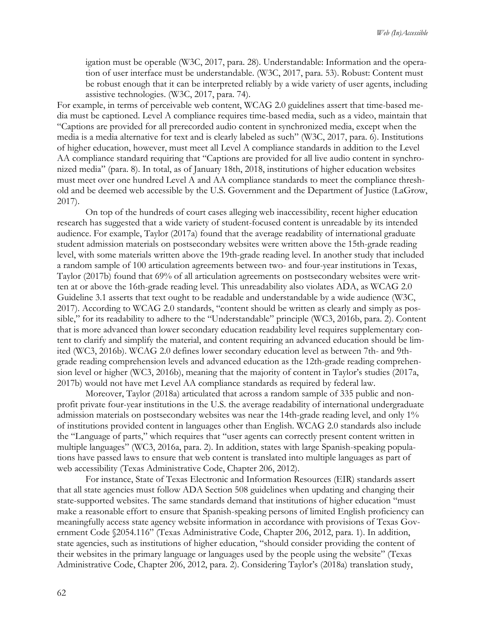igation must be operable (W3C, 2017, para. 28). Understandable: Information and the operation of user interface must be understandable. (W3C, 2017, para. 53). Robust: Content must be robust enough that it can be interpreted reliably by a wide variety of user agents, including assistive technologies. (W3C, 2017, para. 74).

For example, in terms of perceivable web content, WCAG 2.0 guidelines assert that time-based media must be captioned. Level A compliance requires time-based media, such as a video, maintain that "Captions are provided for all prerecorded audio content in synchronized media, except when the media is a media alternative for text and is clearly labeled as such" (W3C, 2017, para. 6). Institutions of higher education, however, must meet all Level A compliance standards in addition to the Level AA compliance standard requiring that "Captions are provided for all live audio content in synchronized media" (para. 8). In total, as of January 18th, 2018, institutions of higher education websites must meet over one hundred Level A and AA compliance standards to meet the compliance threshold and be deemed web accessible by the U.S. Government and the Department of Justice (LaGrow, 2017).

On top of the hundreds of court cases alleging web inaccessibility, recent higher education research has suggested that a wide variety of student-focused content is unreadable by its intended audience. For example, Taylor (2017a) found that the average readability of international graduate student admission materials on postsecondary websites were written above the 15th-grade reading level, with some materials written above the 19th-grade reading level. In another study that included a random sample of 100 articulation agreements between two- and four-year institutions in Texas, Taylor (2017b) found that 69% of all articulation agreements on postsecondary websites were written at or above the 16th-grade reading level. This unreadability also violates ADA, as WCAG 2.0 Guideline 3.1 asserts that text ought to be readable and understandable by a wide audience (W3C, 2017). According to WCAG 2.0 standards, "content should be written as clearly and simply as possible," for its readability to adhere to the "Understandable" principle (WC3, 2016b, para. 2). Content that is more advanced than lower secondary education readability level requires supplementary content to clarify and simplify the material, and content requiring an advanced education should be limited (WC3, 2016b). WCAG 2.0 defines lower secondary education level as between 7th- and 9thgrade reading comprehension levels and advanced education as the 12th-grade reading comprehension level or higher (WC3, 2016b), meaning that the majority of content in Taylor's studies (2017a, 2017b) would not have met Level AA compliance standards as required by federal law.

Moreover, Taylor (2018a) articulated that across a random sample of 335 public and nonprofit private four-year institutions in the U.S. the average readability of international undergraduate admission materials on postsecondary websites was near the 14th-grade reading level, and only 1% of institutions provided content in languages other than English. WCAG 2.0 standards also include the "Language of parts," which requires that "user agents can correctly present content written in multiple languages" (WC3, 2016a, para. 2). In addition, states with large Spanish-speaking populations have passed laws to ensure that web content is translated into multiple languages as part of web accessibility (Texas Administrative Code, Chapter 206, 2012).

For instance, State of Texas Electronic and Information Resources (EIR) standards assert that all state agencies must follow ADA Section 508 guidelines when updating and changing their state-supported websites. The same standards demand that institutions of higher education "must make a reasonable effort to ensure that Spanish-speaking persons of limited English proficiency can meaningfully access state agency website information in accordance with provisions of Texas Government Code §2054.116" (Texas Administrative Code, Chapter 206, 2012, para. 1). In addition, state agencies, such as institutions of higher education, "should consider providing the content of their websites in the primary language or languages used by the people using the website" (Texas Administrative Code, Chapter 206, 2012, para. 2). Considering Taylor's (2018a) translation study,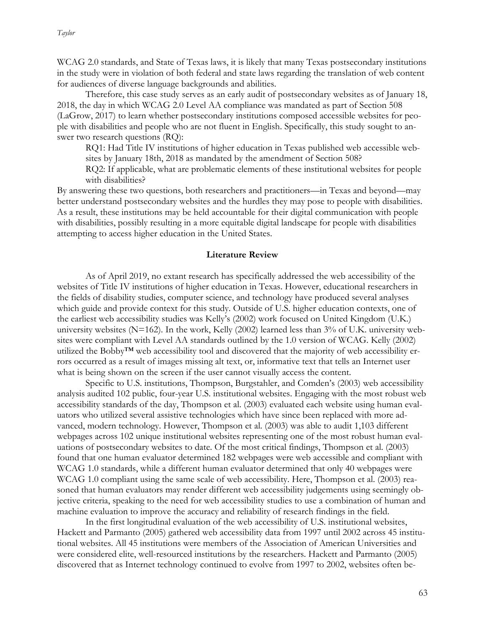WCAG 2.0 standards, and State of Texas laws, it is likely that many Texas postsecondary institutions in the study were in violation of both federal and state laws regarding the translation of web content for audiences of diverse language backgrounds and abilities.

Therefore, this case study serves as an early audit of postsecondary websites as of January 18, 2018, the day in which WCAG 2.0 Level AA compliance was mandated as part of Section 508 (LaGrow, 2017) to learn whether postsecondary institutions composed accessible websites for people with disabilities and people who are not fluent in English. Specifically, this study sought to answer two research questions (RQ):

RQ1: Had Title IV institutions of higher education in Texas published web accessible websites by January 18th, 2018 as mandated by the amendment of Section 508?

RQ2: If applicable, what are problematic elements of these institutional websites for people with disabilities?

By answering these two questions, both researchers and practitioners—in Texas and beyond—may better understand postsecondary websites and the hurdles they may pose to people with disabilities. As a result, these institutions may be held accountable for their digital communication with people with disabilities, possibly resulting in a more equitable digital landscape for people with disabilities attempting to access higher education in the United States.

#### **Literature Review**

As of April 2019, no extant research has specifically addressed the web accessibility of the websites of Title IV institutions of higher education in Texas. However, educational researchers in the fields of disability studies, computer science, and technology have produced several analyses which guide and provide context for this study. Outside of U.S. higher education contexts, one of the earliest web accessibility studies was Kelly's (2002) work focused on United Kingdom (U.K.) university websites (N=162). In the work, Kelly (2002) learned less than 3% of U.K. university websites were compliant with Level AA standards outlined by the 1.0 version of WCAG. Kelly (2002) utilized the Bobby™ web accessibility tool and discovered that the majority of web accessibility errors occurred as a result of images missing alt text, or, informative text that tells an Internet user what is being shown on the screen if the user cannot visually access the content.

Specific to U.S. institutions, Thompson, Burgstahler, and Comden's (2003) web accessibility analysis audited 102 public, four-year U.S. institutional websites. Engaging with the most robust web accessibility standards of the day, Thompson et al. (2003) evaluated each website using human evaluators who utilized several assistive technologies which have since been replaced with more advanced, modern technology. However, Thompson et al. (2003) was able to audit 1,103 different webpages across 102 unique institutional websites representing one of the most robust human evaluations of postsecondary websites to date. Of the most critical findings, Thompson et al. (2003) found that one human evaluator determined 182 webpages were web accessible and compliant with WCAG 1.0 standards, while a different human evaluator determined that only 40 webpages were WCAG 1.0 compliant using the same scale of web accessibility. Here, Thompson et al. (2003) reasoned that human evaluators may render different web accessibility judgements using seemingly objective criteria, speaking to the need for web accessibility studies to use a combination of human and machine evaluation to improve the accuracy and reliability of research findings in the field.

In the first longitudinal evaluation of the web accessibility of U.S. institutional websites, Hackett and Parmanto (2005) gathered web accessibility data from 1997 until 2002 across 45 institutional websites. All 45 institutions were members of the Association of American Universities and were considered elite, well-resourced institutions by the researchers. Hackett and Parmanto (2005) discovered that as Internet technology continued to evolve from 1997 to 2002, websites often be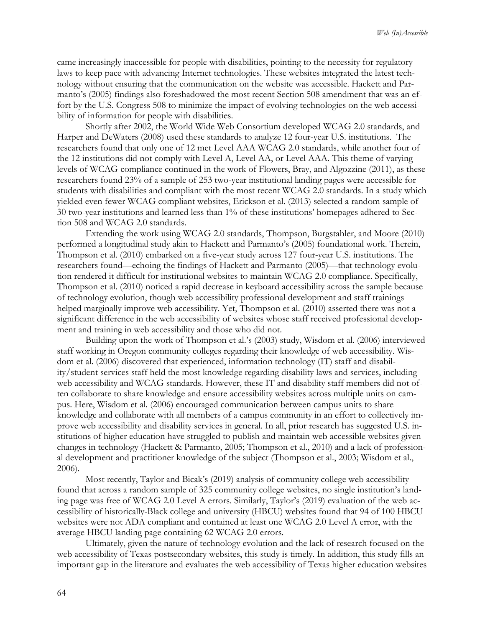came increasingly inaccessible for people with disabilities, pointing to the necessity for regulatory laws to keep pace with advancing Internet technologies. These websites integrated the latest technology without ensuring that the communication on the website was accessible. Hackett and Parmanto's (2005) findings also foreshadowed the most recent Section 508 amendment that was an effort by the U.S. Congress 508 to minimize the impact of evolving technologies on the web accessibility of information for people with disabilities.

Shortly after 2002, the World Wide Web Consortium developed WCAG 2.0 standards, and Harper and DeWaters (2008) used these standards to analyze 12 four-year U.S. institutions. The researchers found that only one of 12 met Level AAA WCAG 2.0 standards, while another four of the 12 institutions did not comply with Level A, Level AA, or Level AAA. This theme of varying levels of WCAG compliance continued in the work of Flowers, Bray, and Algozzine (2011), as these researchers found 23% of a sample of 253 two-year institutional landing pages were accessible for students with disabilities and compliant with the most recent WCAG 2.0 standards. In a study which yielded even fewer WCAG compliant websites, Erickson et al. (2013) selected a random sample of 30 two-year institutions and learned less than 1% of these institutions' homepages adhered to Section 508 and WCAG 2.0 standards.

Extending the work using WCAG 2.0 standards, Thompson, Burgstahler, and Moore (2010) performed a longitudinal study akin to Hackett and Parmanto's (2005) foundational work. Therein, Thompson et al. (2010) embarked on a five-year study across 127 four-year U.S. institutions. The researchers found—echoing the findings of Hackett and Parmanto (2005)—that technology evolution rendered it difficult for institutional websites to maintain WCAG 2.0 compliance. Specifically, Thompson et al. (2010) noticed a rapid decrease in keyboard accessibility across the sample because of technology evolution, though web accessibility professional development and staff trainings helped marginally improve web accessibility. Yet, Thompson et al. (2010) asserted there was not a significant difference in the web accessibility of websites whose staff received professional development and training in web accessibility and those who did not.

Building upon the work of Thompson et al.'s (2003) study, Wisdom et al. (2006) interviewed staff working in Oregon community colleges regarding their knowledge of web accessibility. Wisdom et al. (2006) discovered that experienced, information technology (IT) staff and disability/student services staff held the most knowledge regarding disability laws and services, including web accessibility and WCAG standards. However, these IT and disability staff members did not often collaborate to share knowledge and ensure accessibility websites across multiple units on campus. Here, Wisdom et al. (2006) encouraged communication between campus units to share knowledge and collaborate with all members of a campus community in an effort to collectively improve web accessibility and disability services in general. In all, prior research has suggested U.S. institutions of higher education have struggled to publish and maintain web accessible websites given changes in technology (Hackett & Parmanto, 2005; Thompson et al., 2010) and a lack of professional development and practitioner knowledge of the subject (Thompson et al., 2003; Wisdom et al., 2006).

Most recently, Taylor and Bicak's (2019) analysis of community college web accessibility found that across a random sample of 325 community college websites, no single institution's landing page was free of WCAG 2.0 Level A errors. Similarly, Taylor's (2019) evaluation of the web accessibility of historically-Black college and university (HBCU) websites found that 94 of 100 HBCU websites were not ADA compliant and contained at least one WCAG 2.0 Level A error, with the average HBCU landing page containing 62 WCAG 2.0 errors.

Ultimately, given the nature of technology evolution and the lack of research focused on the web accessibility of Texas postsecondary websites, this study is timely. In addition, this study fills an important gap in the literature and evaluates the web accessibility of Texas higher education websites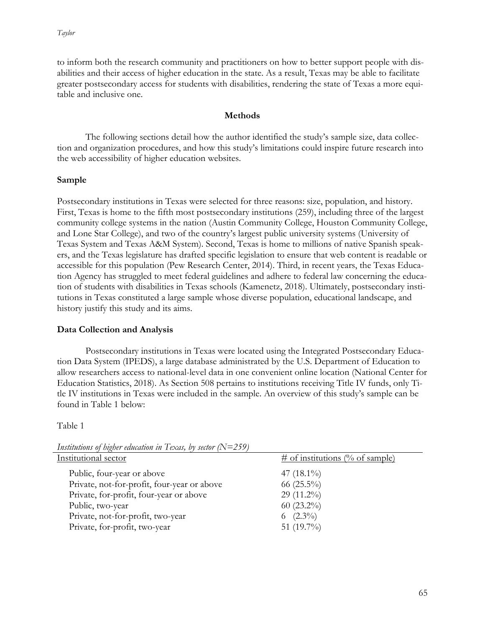to inform both the research community and practitioners on how to better support people with disabilities and their access of higher education in the state. As a result, Texas may be able to facilitate greater postsecondary access for students with disabilities, rendering the state of Texas a more equitable and inclusive one.

# **Methods**

The following sections detail how the author identified the study's sample size, data collection and organization procedures, and how this study's limitations could inspire future research into the web accessibility of higher education websites.

# **Sample**

Postsecondary institutions in Texas were selected for three reasons: size, population, and history. First, Texas is home to the fifth most postsecondary institutions (259), including three of the largest community college systems in the nation (Austin Community College, Houston Community College, and Lone Star College), and two of the country's largest public university systems (University of Texas System and Texas A&M System). Second, Texas is home to millions of native Spanish speakers, and the Texas legislature has drafted specific legislation to ensure that web content is readable or accessible for this population (Pew Research Center, 2014). Third, in recent years, the Texas Education Agency has struggled to meet federal guidelines and adhere to federal law concerning the education of students with disabilities in Texas schools (Kamenetz, 2018). Ultimately, postsecondary institutions in Texas constituted a large sample whose diverse population, educational landscape, and history justify this study and its aims.

# **Data Collection and Analysis**

Postsecondary institutions in Texas were located using the Integrated Postsecondary Education Data System (IPEDS), a large database administrated by the U.S. Department of Education to allow researchers access to national-level data in one convenient online location (National Center for Education Statistics, 2018). As Section 508 pertains to institutions receiving Title IV funds, only Title IV institutions in Texas were included in the sample. An overview of this study's sample can be found in Table 1 below:

## Table 1

| Institutional sector                        | $\#$ of institutions (% of sample) |
|---------------------------------------------|------------------------------------|
| Public, four-year or above                  | 47 $(18.1\%)$                      |
| Private, not-for-profit, four-year or above | 66 $(25.5\%)$                      |
| Private, for-profit, four-year or above     | 29 (11.2%)                         |
| Public, two-year                            | $60(23.2\%)$                       |
| Private, not-for-profit, two-year           | 6 $(2.3\%)$                        |
| Private, for-profit, two-year               | 51 $(19.7\%)$                      |
|                                             |                                    |

*Institutions of higher education in Texas, by sector (N=259)*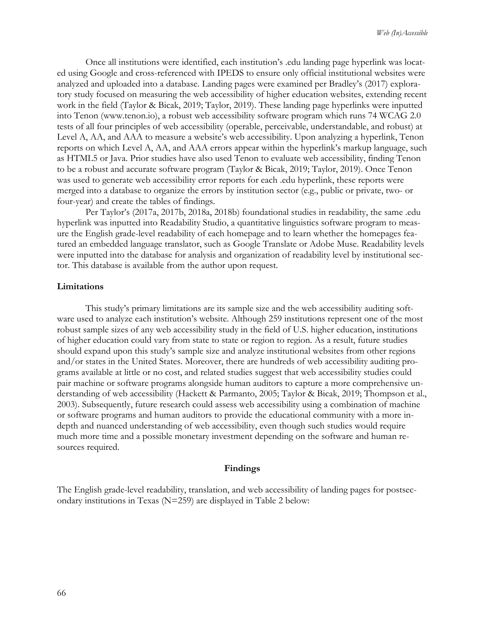Once all institutions were identified, each institution's .edu landing page hyperlink was located using Google and cross-referenced with IPEDS to ensure only official institutional websites were analyzed and uploaded into a database. Landing pages were examined per Bradley's (2017) exploratory study focused on measuring the web accessibility of higher education websites, extending recent work in the field (Taylor & Bicak, 2019; Taylor, 2019). These landing page hyperlinks were inputted into Tenon (www.tenon.io), a robust web accessibility software program which runs 74 WCAG 2.0 tests of all four principles of web accessibility (operable, perceivable, understandable, and robust) at Level A, AA, and AAA to measure a website's web accessibility. Upon analyzing a hyperlink, Tenon reports on which Level A, AA, and AAA errors appear within the hyperlink's markup language, such as HTML5 or Java. Prior studies have also used Tenon to evaluate web accessibility, finding Tenon to be a robust and accurate software program (Taylor & Bicak, 2019; Taylor, 2019). Once Tenon was used to generate web accessibility error reports for each .edu hyperlink, these reports were merged into a database to organize the errors by institution sector (e.g., public or private, two- or four-year) and create the tables of findings.

Per Taylor's (2017a, 2017b, 2018a, 2018b) foundational studies in readability, the same .edu hyperlink was inputted into Readability Studio, a quantitative linguistics software program to measure the English grade-level readability of each homepage and to learn whether the homepages featured an embedded language translator, such as Google Translate or Adobe Muse. Readability levels were inputted into the database for analysis and organization of readability level by institutional sector. This database is available from the author upon request.

## **Limitations**

This study's primary limitations are its sample size and the web accessibility auditing software used to analyze each institution's website. Although 259 institutions represent one of the most robust sample sizes of any web accessibility study in the field of U.S. higher education, institutions of higher education could vary from state to state or region to region. As a result, future studies should expand upon this study's sample size and analyze institutional websites from other regions and/or states in the United States. Moreover, there are hundreds of web accessibility auditing programs available at little or no cost, and related studies suggest that web accessibility studies could pair machine or software programs alongside human auditors to capture a more comprehensive understanding of web accessibility (Hackett & Parmanto, 2005; Taylor & Bicak, 2019; Thompson et al., 2003). Subsequently, future research could assess web accessibility using a combination of machine or software programs and human auditors to provide the educational community with a more indepth and nuanced understanding of web accessibility, even though such studies would require much more time and a possible monetary investment depending on the software and human resources required.

### **Findings**

The English grade-level readability, translation, and web accessibility of landing pages for postsecondary institutions in Texas (N=259) are displayed in Table 2 below: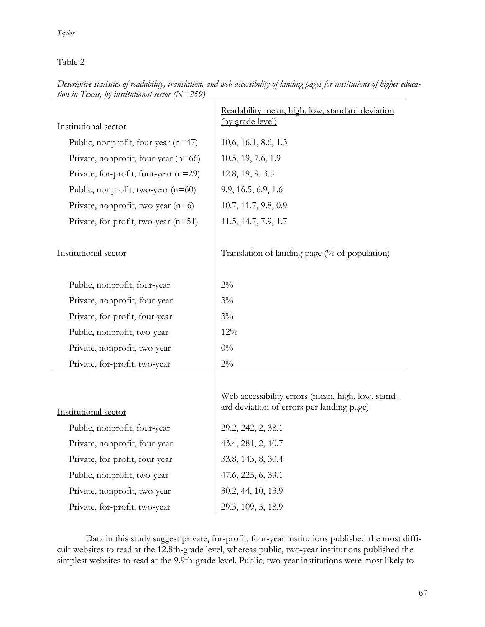Table 2

| Institutional sector                  | Readability mean, high, low, standard deviation<br>(by grade level)                            |
|---------------------------------------|------------------------------------------------------------------------------------------------|
| Public, nonprofit, four-year (n=47)   | 10.6, 16.1, 8.6, 1.3                                                                           |
| Private, nonprofit, four-year (n=66)  | 10.5, 19, 7.6, 1.9                                                                             |
| Private, for-profit, four-year (n=29) | 12.8, 19, 9, 3.5                                                                               |
| Public, nonprofit, two-year $(n=60)$  | 9.9, 16.5, 6.9, 1.6                                                                            |
| Private, nonprofit, two-year $(n=6)$  | 10.7, 11.7, 9.8, 0.9                                                                           |
| Private, for-profit, two-year (n=51)  | 11.5, 14.7, 7.9, 1.7                                                                           |
| Institutional sector                  | Translation of landing page (% of population)                                                  |
| Public, nonprofit, four-year          | $2\%$                                                                                          |
| Private, nonprofit, four-year         | $3\%$                                                                                          |
| Private, for-profit, four-year        | $3\%$                                                                                          |
| Public, nonprofit, two-year           | 12%                                                                                            |
| Private, nonprofit, two-year          | $0\%$                                                                                          |
| Private, for-profit, two-year         | $2\%$                                                                                          |
| Institutional sector                  | Web accessibility errors (mean, high, low, stand-<br>ard deviation of errors per landing page) |
| Public, nonprofit, four-year          | 29.2, 242, 2, 38.1                                                                             |
| Private, nonprofit, four-year         | 43.4, 281, 2, 40.7                                                                             |
| Private, for-profit, four-year        | 33.8, 143, 8, 30.4                                                                             |
| Public, nonprofit, two-year           | 47.6, 225, 6, 39.1                                                                             |
| Private, nonprofit, two-year          | 30.2, 44, 10, 13.9                                                                             |
| Private, for-profit, two-year         | 29.3, 109, 5, 18.9                                                                             |

*Descriptive statistics of readability, translation, and web accessibility of landing pages for institutions of higher education in Texas, by institutional sector (N=259)*

Data in this study suggest private, for-profit, four-year institutions published the most difficult websites to read at the 12.8th-grade level, whereas public, two-year institutions published the simplest websites to read at the 9.9th-grade level. Public, two-year institutions were most likely to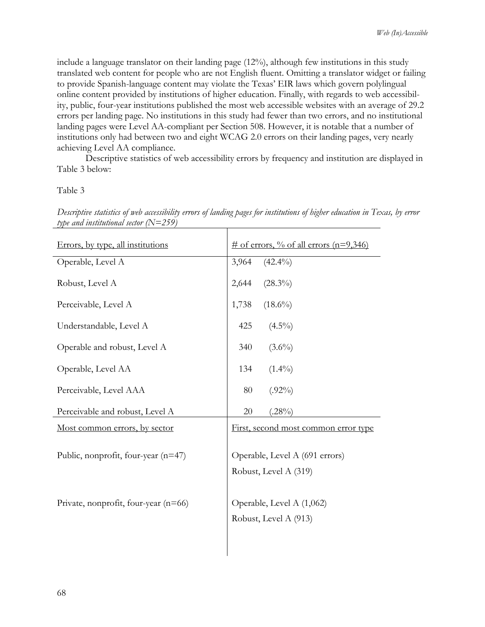include a language translator on their landing page (12%), although few institutions in this study translated web content for people who are not English fluent. Omitting a translator widget or failing to provide Spanish-language content may violate the Texas' EIR laws which govern polylingual online content provided by institutions of higher education. Finally, with regards to web accessibility, public, four-year institutions published the most web accessible websites with an average of 29.2 errors per landing page. No institutions in this study had fewer than two errors, and no institutional landing pages were Level AA-compliant per Section 508. However, it is notable that a number of institutions only had between two and eight WCAG 2.0 errors on their landing pages, very nearly achieving Level AA compliance.

Descriptive statistics of web accessibility errors by frequency and institution are displayed in Table 3 below:

#### Table 3

| Errors, by type, all institutions      | $\#$ of errors, % of all errors (n=9,346)               |
|----------------------------------------|---------------------------------------------------------|
| Operable, Level A                      | 3,964<br>$(42.4\%)$                                     |
| Robust, Level A                        | 2,644<br>$(28.3\%)$                                     |
| Perceivable, Level A                   | $(18.6\%)$<br>1,738                                     |
| Understandable, Level A                | $(4.5\%)$<br>425                                        |
| Operable and robust, Level A           | 340<br>$(3.6\%)$                                        |
| Operable, Level AA                     | 134<br>$(1.4\%)$                                        |
| Perceivable, Level AAA                 | 80<br>$(.92\%)$                                         |
| Perceivable and robust, Level A        | 20<br>$(.28\%)$                                         |
| <u>Most common errors, by sector</u>   | First, second most common error type                    |
| Public, nonprofit, four-year (n=47)    | Operable, Level A (691 errors)<br>Robust, Level A (319) |
| Private, nonprofit, four-year $(n=66)$ | Operable, Level A (1,062)<br>Robust, Level A (913)      |

*Descriptive statistics of web accessibility errors of landing pages for institutions of higher education in Texas, by error type and institutional sector (N=259)*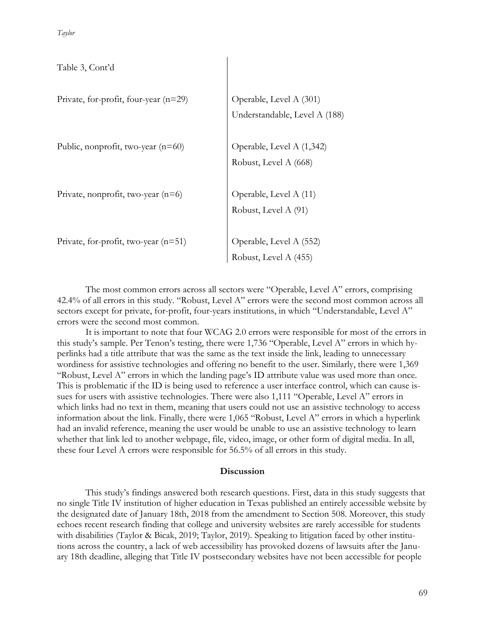*Taylor*

| Table 3, Cont'd                         |                                                          |
|-----------------------------------------|----------------------------------------------------------|
| Private, for-profit, four-year $(n=29)$ | Operable, Level A (301)<br>Understandable, Level A (188) |
| Public, nonprofit, two-year (n=60)      | Operable, Level A (1,342)<br>Robust, Level A (668)       |
| Private, nonprofit, two-year $(n=6)$    | Operable, Level A (11)<br>Robust, Level A (91)           |
| Private, for-profit, two-year $(n=51)$  | Operable, Level A (552)<br>Robust, Level A (455)         |

The most common errors across all sectors were "Operable, Level A" errors, comprising 42.4% of all errors in this study. "Robust, Level A" errors were the second most common across all sectors except for private, for-profit, four-years institutions, in which "Understandable, Level A" errors were the second most common.

It is important to note that four WCAG 2.0 errors were responsible for most of the errors in this study's sample. Per Tenon's testing, there were 1,736 "Operable, Level A" errors in which hyperlinks had a title attribute that was the same as the text inside the link, leading to unnecessary wordiness for assistive technologies and offering no benefit to the user. Similarly, there were 1,369 "Robust, Level A" errors in which the landing page's ID attribute value was used more than once. This is problematic if the ID is being used to reference a user interface control, which can cause issues for users with assistive technologies. There were also 1,111 "Operable, Level A" errors in which links had no text in them, meaning that users could not use an assistive technology to access information about the link. Finally, there were 1,065 "Robust, Level A" errors in which a hyperlink had an invalid reference, meaning the user would be unable to use an assistive technology to learn whether that link led to another webpage, file, video, image, or other form of digital media. In all, these four Level A errors were responsible for 56.5% of all errors in this study.

## **Discussion**

This study's findings answered both research questions. First, data in this study suggests that no single Title IV institution of higher education in Texas published an entirely accessible website by the designated date of January 18th, 2018 from the amendment to Section 508. Moreover, this study echoes recent research finding that college and university websites are rarely accessible for students with disabilities (Taylor & Bicak, 2019; Taylor, 2019). Speaking to litigation faced by other institutions across the country, a lack of web accessibility has provoked dozens of lawsuits after the January 18th deadline, alleging that Title IV postsecondary websites have not been accessible for people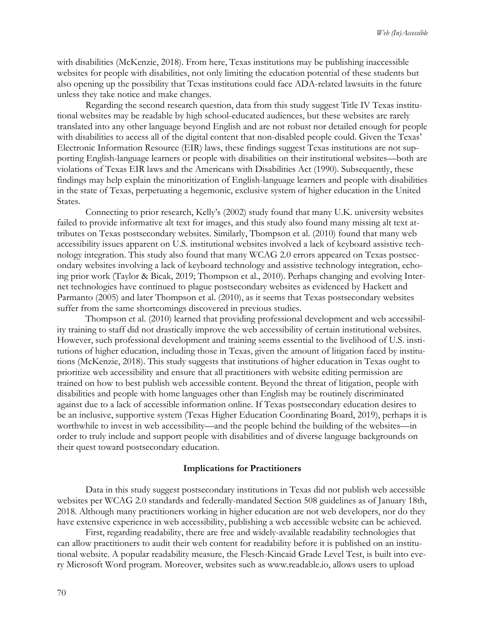with disabilities (McKenzie, 2018). From here, Texas institutions may be publishing inaccessible websites for people with disabilities, not only limiting the education potential of these students but also opening up the possibility that Texas institutions could face ADA-related lawsuits in the future unless they take notice and make changes.

Regarding the second research question, data from this study suggest Title IV Texas institutional websites may be readable by high school-educated audiences, but these websites are rarely translated into any other language beyond English and are not robust nor detailed enough for people with disabilities to access all of the digital content that non-disabled people could. Given the Texas' Electronic Information Resource (EIR) laws, these findings suggest Texas institutions are not supporting English-language learners or people with disabilities on their institutional websites—both are violations of Texas EIR laws and the Americans with Disabilities Act (1990). Subsequently, these findings may help explain the minoritization of English-language learners and people with disabilities in the state of Texas, perpetuating a hegemonic, exclusive system of higher education in the United States.

Connecting to prior research, Kelly's (2002) study found that many U.K. university websites failed to provide informative alt text for images, and this study also found many missing alt text attributes on Texas postsecondary websites. Similarly, Thompson et al. (2010) found that many web accessibility issues apparent on U.S. institutional websites involved a lack of keyboard assistive technology integration. This study also found that many WCAG 2.0 errors appeared on Texas postsecondary websites involving a lack of keyboard technology and assistive technology integration, echoing prior work (Taylor & Bicak, 2019; Thompson et al., 2010). Perhaps changing and evolving Internet technologies have continued to plague postsecondary websites as evidenced by Hackett and Parmanto (2005) and later Thompson et al. (2010), as it seems that Texas postsecondary websites suffer from the same shortcomings discovered in previous studies.

Thompson et al. (2010) learned that providing professional development and web accessibility training to staff did not drastically improve the web accessibility of certain institutional websites. However, such professional development and training seems essential to the livelihood of U.S. institutions of higher education, including those in Texas, given the amount of litigation faced by institutions (McKenzie, 2018). This study suggests that institutions of higher education in Texas ought to prioritize web accessibility and ensure that all practitioners with website editing permission are trained on how to best publish web accessible content. Beyond the threat of litigation, people with disabilities and people with home languages other than English may be routinely discriminated against due to a lack of accessible information online. If Texas postsecondary education desires to be an inclusive, supportive system (Texas Higher Education Coordinating Board, 2019), perhaps it is worthwhile to invest in web accessibility—and the people behind the building of the websites—in order to truly include and support people with disabilities and of diverse language backgrounds on their quest toward postsecondary education.

#### **Implications for Practitioners**

Data in this study suggest postsecondary institutions in Texas did not publish web accessible websites per WCAG 2.0 standards and federally-mandated Section 508 guidelines as of January 18th, 2018. Although many practitioners working in higher education are not web developers, nor do they have extensive experience in web accessibility, publishing a web accessible website can be achieved.

First, regarding readability, there are free and widely-available readability technologies that can allow practitioners to audit their web content for readability before it is published on an institutional website. A popular readability measure, the Flesch-Kincaid Grade Level Test, is built into every Microsoft Word program. Moreover, websites such as www.readable.io, allows users to upload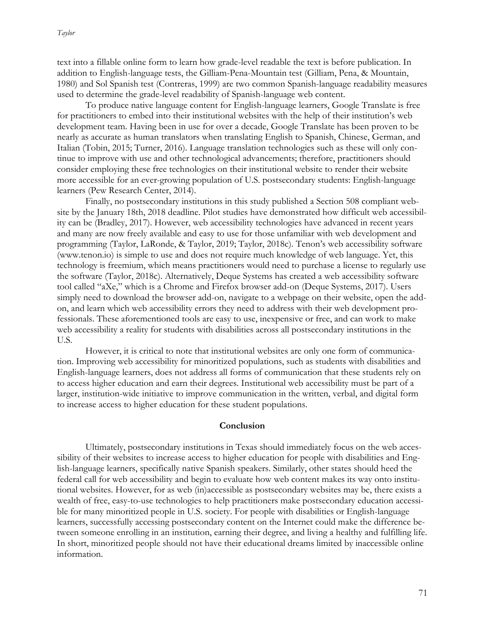text into a fillable online form to learn how grade-level readable the text is before publication. In addition to English-language tests, the Gilliam-Pena-Mountain test (Gilliam, Pena, & Mountain, 1980) and Sol Spanish test (Contreras, 1999) are two common Spanish-language readability measures used to determine the grade-level readability of Spanish-language web content.

To produce native language content for English-language learners, Google Translate is free for practitioners to embed into their institutional websites with the help of their institution's web development team. Having been in use for over a decade, Google Translate has been proven to be nearly as accurate as human translators when translating English to Spanish, Chinese, German, and Italian (Tobin, 2015; Turner, 2016). Language translation technologies such as these will only continue to improve with use and other technological advancements; therefore, practitioners should consider employing these free technologies on their institutional website to render their website more accessible for an ever-growing population of U.S. postsecondary students: English-language learners (Pew Research Center, 2014).

Finally, no postsecondary institutions in this study published a Section 508 compliant website by the January 18th, 2018 deadline. Pilot studies have demonstrated how difficult web accessibility can be (Bradley, 2017). However, web accessibility technologies have advanced in recent years and many are now freely available and easy to use for those unfamiliar with web development and programming (Taylor, LaRonde, & Taylor, 2019; Taylor, 2018c). Tenon's web accessibility software (www.tenon.io) is simple to use and does not require much knowledge of web language. Yet, this technology is freemium, which means practitioners would need to purchase a license to regularly use the software (Taylor, 2018c). Alternatively, Deque Systems has created a web accessibility software tool called "aXe," which is a Chrome and Firefox browser add-on (Deque Systems, 2017). Users simply need to download the browser add-on, navigate to a webpage on their website, open the addon, and learn which web accessibility errors they need to address with their web development professionals. These aforementioned tools are easy to use, inexpensive or free, and can work to make web accessibility a reality for students with disabilities across all postsecondary institutions in the U.S.

However, it is critical to note that institutional websites are only one form of communication. Improving web accessibility for minoritized populations, such as students with disabilities and English-language learners, does not address all forms of communication that these students rely on to access higher education and earn their degrees. Institutional web accessibility must be part of a larger, institution-wide initiative to improve communication in the written, verbal, and digital form to increase access to higher education for these student populations.

#### **Conclusion**

Ultimately, postsecondary institutions in Texas should immediately focus on the web accessibility of their websites to increase access to higher education for people with disabilities and English-language learners, specifically native Spanish speakers. Similarly, other states should heed the federal call for web accessibility and begin to evaluate how web content makes its way onto institutional websites. However, for as web (in)accessible as postsecondary websites may be, there exists a wealth of free, easy-to-use technologies to help practitioners make postsecondary education accessible for many minoritized people in U.S. society. For people with disabilities or English-language learners, successfully accessing postsecondary content on the Internet could make the difference between someone enrolling in an institution, earning their degree, and living a healthy and fulfilling life. In short, minoritized people should not have their educational dreams limited by inaccessible online information.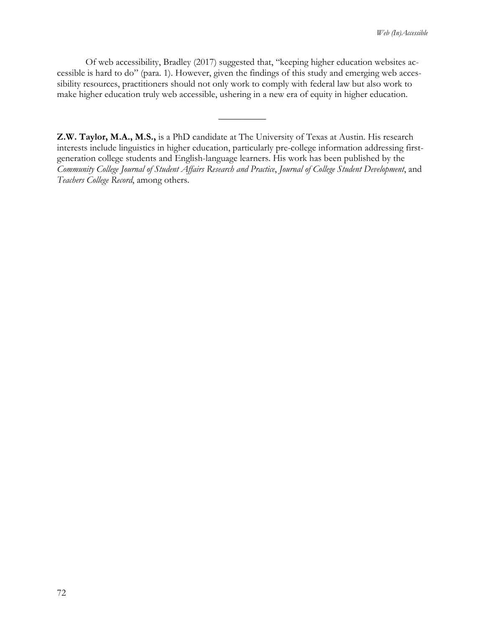Of web accessibility, Bradley (2017) suggested that, "keeping higher education websites accessible is hard to do" (para. 1). However, given the findings of this study and emerging web accessibility resources, practitioners should not only work to comply with federal law but also work to make higher education truly web accessible, ushering in a new era of equity in higher education.

 $\overline{\phantom{a}}$ 

**Z.W. Taylor, M.A., M.S.,** is a PhD candidate at The University of Texas at Austin. His research interests include linguistics in higher education, particularly pre-college information addressing firstgeneration college students and English-language learners. His work has been published by the *Community College Journal of Student Affairs Research and Practice*, *Journal of College Student Development*, and *Teachers College Record*, among others.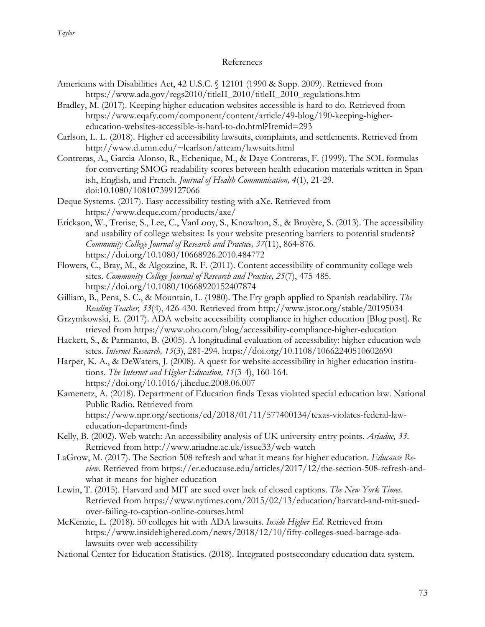## References

- Americans with Disabilities Act, 42 U.S.C. § 12101 (1990 & Supp. 2009). Retrieved from https://www.ada.gov/regs2010/titleII\_2010/titleII\_2010\_regulations.htm
- Bradley, M. (2017). Keeping higher education websites accessible is hard to do. Retrieved from https://www.eqafy.com/component/content/article/49-blog/190-keeping-highereducation-websites-accessible-is-hard-to-do.html?Itemid=293
- Carlson, L. L. (2018). Higher ed accessibility lawsuits, complaints, and settlements. Retrieved from http://www.d.umn.edu/~lcarlson/atteam/lawsuits.html
- Contreras, A., Garcia-Alonso, R., Echenique, M., & Daye-Contreras, F. (1999). The SOL formulas for converting SMOG readability scores between health education materials written in Spanish, English, and French. *Journal of Health Communication, 4*(1), 21-29. doi:10.1080/108107399127066
- Deque Systems. (2017). Easy accessibility testing with aXe. Retrieved from https://www.deque.com/products/axe/
- Erickson, W., Trerise, S., Lee, C., VanLooy, S., Knowlton, S., & Bruyère, S. (2013). The accessibility and usability of college websites: Is your website presenting barriers to potential students? *Community College Journal of Research and Practice, 37*(11), 864-876. https://doi.org/10.1080/10668926.2010.484772
- Flowers, C., Bray, M., & Algozzine, R. F. (2011). Content accessibility of community college web sites. *Community College Journal of Research and Practice, 25*(7), 475-485. https://doi.org/10.1080/10668920152407874
- Gilliam, B., Pena, S. C., & Mountain, L. (1980). The Fry graph applied to Spanish readability. *The Reading Teacher, 33*(4), 426-430. Retrieved from http://www.jstor.org/stable/20195034
- Grzymkowski, E. (2017). ADA website accessibility compliance in higher education [Blog post]. Re trieved from https://www.oho.com/blog/accessibility-compliance-higher-education
- Hackett, S., & Parmanto, B. (2005). A longitudinal evaluation of accessibility: higher education web sites. *Internet Research, 15*(3), 281-294. https://doi.org/10.1108/10662240510602690
- Harper, K. A., & DeWaters, J. (2008). A quest for website accessibility in higher education institutions. *The Internet and Higher Education, 11*(3-4), 160-164. https://doi.org/10.1016/j.iheduc.2008.06.007
- Kamenetz, A. (2018). Department of Education finds Texas violated special education law. National Public Radio. Retrieved from https://www.npr.org/sections/ed/2018/01/11/577400134/texas-violates-federal-laweducation-department-finds
- Kelly, B. (2002). Web watch: An accessibility analysis of UK university entry points. *Ariadne, 33*. Retrieved from http://www.ariadne.ac.uk/issue33/web-watch
- LaGrow, M. (2017). The Section 508 refresh and what it means for higher education. *Educause Review*. Retrieved from https://er.educause.edu/articles/2017/12/the-section-508-refresh-andwhat-it-means-for-higher-education
- Lewin, T. (2015). Harvard and MIT are sued over lack of closed captions. *The New York Times*. Retrieved from https://www.nytimes.com/2015/02/13/education/harvard-and-mit-suedover-failing-to-caption-online-courses.html
- McKenzie, L. (2018). 50 colleges hit with ADA lawsuits. *Inside Higher Ed*. Retrieved from https://www.insidehighered.com/news/2018/12/10/fifty-colleges-sued-barrage-adalawsuits-over-web-accessibility
- National Center for Education Statistics. (2018). Integrated postsecondary education data system.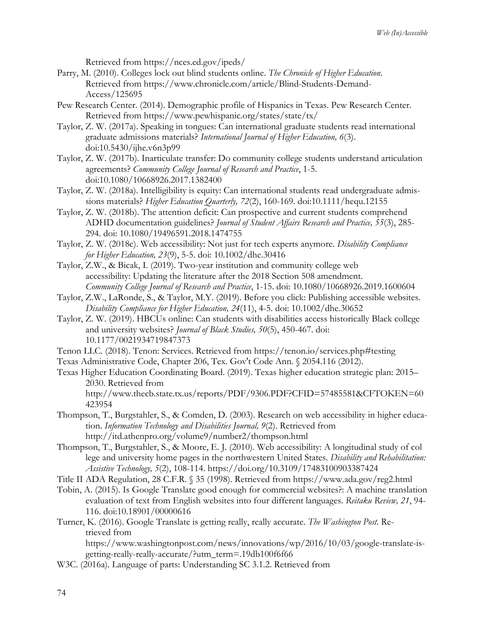Retrieved from https://nces.ed.gov/ipeds/

- Parry, M. (2010). Colleges lock out blind students online. *The Chronicle of Higher Education*. Retrieved from https://www.chronicle.com/article/Blind-Students-Demand-Access/125695
- Pew Research Center. (2014). Demographic profile of Hispanics in Texas. Pew Research Center. Retrieved from https://www.pewhispanic.org/states/state/tx/
- Taylor, Z. W. (2017a). Speaking in tongues: Can international graduate students read international graduate admissions materials? *International Journal of Higher Education, 6*(3). doi:10.5430/ijhe.v6n3p99
- Taylor, Z. W. (2017b). Inarticulate transfer: Do community college students understand articulation agreements? *Community College Journal of Research and Practice*, 1-5. doi:10.1080/10668926.2017.1382400
- Taylor, Z. W. (2018a). Intelligibility is equity: Can international students read undergraduate admissions materials? *Higher Education Quarterly, 72*(2), 160-169. doi:10.1111/hequ.12155
- Taylor, Z. W. (2018b). The attention deficit: Can prospective and current students comprehend ADHD documentation guidelines? *Journal of Student Affairs Research and Practice, 55*(3), 285- 294. doi: 10.1080/19496591.2018.1474755
- Taylor, Z. W. (2018c). Web accessibility: Not just for tech experts anymore. *Disability Compliance for Higher Education, 23*(9), 5-5. doi: 10.1002/dhe.30416
- Taylor, Z.W., & Bicak, I. (2019). Two-year institution and community college web accessibility: Updating the literature after the 2018 Section 508 amendment. *Community College Journal of Research and Practice*, 1-15. doi: 10.1080/10668926.2019.1600604
- Taylor, Z.W., LaRonde, S., & Taylor, M.Y. (2019). Before you click: Publishing accessible websites. *Disability Compliance for Higher Education, 24*(11), 4-5. doi: 10.1002/dhe.30652
- Taylor, Z. W. (2019). HBCUs online: Can students with disabilities access historically Black college and university websites? *Journal of Black Studies, 50*(5), 450-467. doi: 10.1177/0021934719847373
- Tenon LLC. (2018). Tenon: Services. Retrieved from https://tenon.io/services.php#testing
- Texas Administrative Code, Chapter 206, Tex. Gov't Code Ann. § 2054.116 (2012).
- Texas Higher Education Coordinating Board. (2019). Texas higher education strategic plan: 2015– 2030. Retrieved from http://www.thecb.state.tx.us/reports/PDF/9306.PDF?CFID=57485581&CFTOKEN=60
- 423954 Thompson, T., Burgstahler, S., & Comden, D. (2003). Research on web accessibility in higher education. *Information Technology and Disabilities Journal, 9*(2). Retrieved from
	- http://itd.athenpro.org/volume9/number2/thompson.html
- Thompson, T., Burgstahler, S., & Moore, E. J. (2010). Web accessibility: A longitudinal study of col lege and university home pages in the northwestern United States. *Disability and Rehabilitation: Assistive Technology, 5*(2), 108-114. https://doi.org/10.3109/17483100903387424

Title II ADA Regulation, 28 C.F.R. § 35 (1998). Retrieved from https://www.ada.gov/reg2.html

Tobin, A. (2015). Is Google Translate good enough for commercial websites?: A machine translation evaluation of text from English websites into four different languages. *Reitaku Review, 21*, 94- 116. doi:10.18901/00000616

Turner, K. (2016). Google Translate is getting really, really accurate. *The Washington Post*. Retrieved from

https://www.washingtonpost.com/news/innovations/wp/2016/10/03/google-translate-isgetting-really-really-accurate/?utm\_term=.19db100f6f66

W3C. (2016a). Language of parts: Understanding SC 3.1.2. Retrieved from